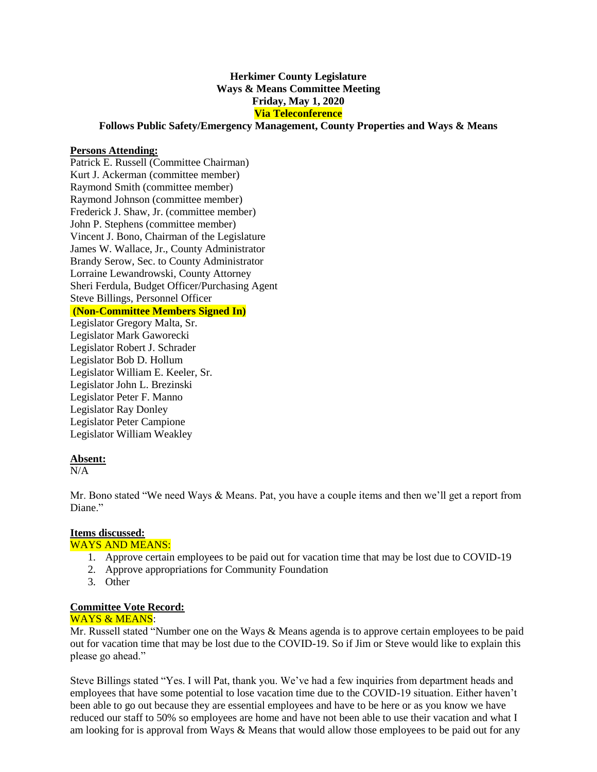# **Herkimer County Legislature Ways & Means Committee Meeting Friday, May 1, 2020 Via Teleconference**

### **Follows Public Safety/Emergency Management, County Properties and Ways & Means**

#### **Persons Attending:**

Patrick E. Russell (Committee Chairman) Kurt J. Ackerman (committee member) Raymond Smith (committee member) Raymond Johnson (committee member) Frederick J. Shaw, Jr. (committee member) John P. Stephens (committee member) Vincent J. Bono, Chairman of the Legislature James W. Wallace, Jr., County Administrator Brandy Serow, Sec. to County Administrator Lorraine Lewandrowski, County Attorney Sheri Ferdula, Budget Officer/Purchasing Agent Steve Billings, Personnel Officer **(Non-Committee Members Signed In)**

Legislator Gregory Malta, Sr. Legislator Mark Gaworecki Legislator Robert J. Schrader Legislator Bob D. Hollum Legislator William E. Keeler, Sr. Legislator John L. Brezinski Legislator Peter F. Manno Legislator Ray Donley Legislator Peter Campione Legislator William Weakley

### **Absent:**

 $N/A$ 

Mr. Bono stated "We need Ways & Means. Pat, you have a couple items and then we'll get a report from Diane."

# **Items discussed:**

## WAYS AND MEANS:

- 1. Approve certain employees to be paid out for vacation time that may be lost due to COVID-19
- 2. Approve appropriations for Community Foundation
- 3. Other

### **Committee Vote Record:**

#### WAYS & MEANS:

Mr. Russell stated "Number one on the Ways & Means agenda is to approve certain employees to be paid out for vacation time that may be lost due to the COVID-19. So if Jim or Steve would like to explain this please go ahead."

Steve Billings stated "Yes. I will Pat, thank you. We've had a few inquiries from department heads and employees that have some potential to lose vacation time due to the COVID-19 situation. Either haven't been able to go out because they are essential employees and have to be here or as you know we have reduced our staff to 50% so employees are home and have not been able to use their vacation and what I am looking for is approval from Ways & Means that would allow those employees to be paid out for any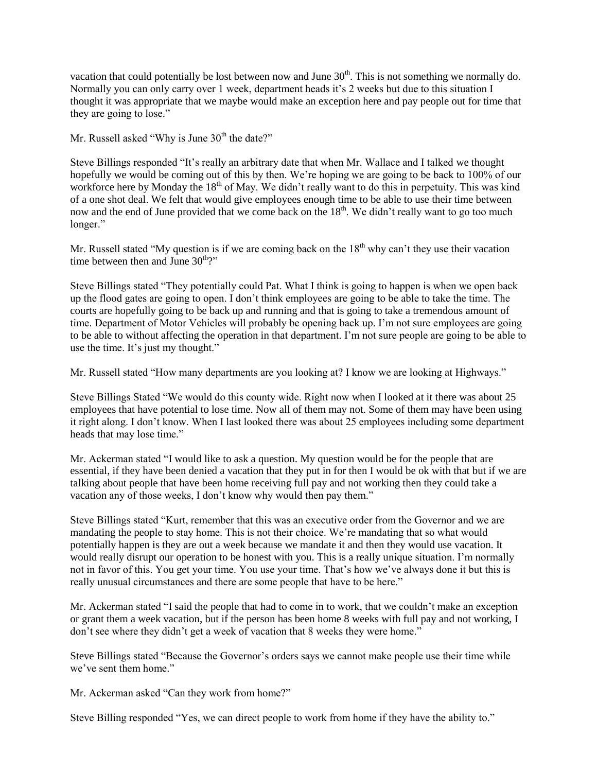vacation that could potentially be lost between now and June  $30<sup>th</sup>$ . This is not something we normally do. Normally you can only carry over 1 week, department heads it's 2 weeks but due to this situation I thought it was appropriate that we maybe would make an exception here and pay people out for time that they are going to lose."

Mr. Russell asked "Why is June  $30<sup>th</sup>$  the date?"

Steve Billings responded "It's really an arbitrary date that when Mr. Wallace and I talked we thought hopefully we would be coming out of this by then. We're hoping we are going to be back to 100% of our workforce here by Monday the 18<sup>th</sup> of May. We didn't really want to do this in perpetuity. This was kind of a one shot deal. We felt that would give employees enough time to be able to use their time between now and the end of June provided that we come back on the 18<sup>th</sup>. We didn't really want to go too much longer."

Mr. Russell stated "My question is if we are coming back on the  $18<sup>th</sup>$  why can't they use their vacation time between then and June  $30<sup>th</sup>$ ?"

Steve Billings stated "They potentially could Pat. What I think is going to happen is when we open back up the flood gates are going to open. I don't think employees are going to be able to take the time. The courts are hopefully going to be back up and running and that is going to take a tremendous amount of time. Department of Motor Vehicles will probably be opening back up. I'm not sure employees are going to be able to without affecting the operation in that department. I'm not sure people are going to be able to use the time. It's just my thought."

Mr. Russell stated "How many departments are you looking at? I know we are looking at Highways."

Steve Billings Stated "We would do this county wide. Right now when I looked at it there was about 25 employees that have potential to lose time. Now all of them may not. Some of them may have been using it right along. I don't know. When I last looked there was about 25 employees including some department heads that may lose time."

Mr. Ackerman stated "I would like to ask a question. My question would be for the people that are essential, if they have been denied a vacation that they put in for then I would be ok with that but if we are talking about people that have been home receiving full pay and not working then they could take a vacation any of those weeks, I don't know why would then pay them."

Steve Billings stated "Kurt, remember that this was an executive order from the Governor and we are mandating the people to stay home. This is not their choice. We're mandating that so what would potentially happen is they are out a week because we mandate it and then they would use vacation. It would really disrupt our operation to be honest with you. This is a really unique situation. I'm normally not in favor of this. You get your time. You use your time. That's how we've always done it but this is really unusual circumstances and there are some people that have to be here."

Mr. Ackerman stated "I said the people that had to come in to work, that we couldn't make an exception or grant them a week vacation, but if the person has been home 8 weeks with full pay and not working, I don't see where they didn't get a week of vacation that 8 weeks they were home."

Steve Billings stated "Because the Governor's orders says we cannot make people use their time while we've sent them home."

Mr. Ackerman asked "Can they work from home?"

Steve Billing responded "Yes, we can direct people to work from home if they have the ability to."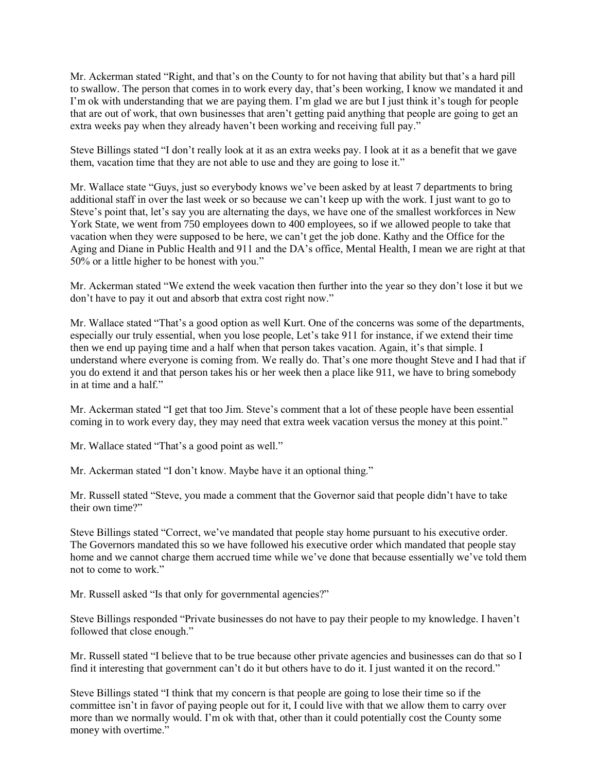Mr. Ackerman stated "Right, and that's on the County to for not having that ability but that's a hard pill to swallow. The person that comes in to work every day, that's been working, I know we mandated it and I'm ok with understanding that we are paying them. I'm glad we are but I just think it's tough for people that are out of work, that own businesses that aren't getting paid anything that people are going to get an extra weeks pay when they already haven't been working and receiving full pay."

Steve Billings stated "I don't really look at it as an extra weeks pay. I look at it as a benefit that we gave them, vacation time that they are not able to use and they are going to lose it."

Mr. Wallace state "Guys, just so everybody knows we've been asked by at least 7 departments to bring additional staff in over the last week or so because we can't keep up with the work. I just want to go to Steve's point that, let's say you are alternating the days, we have one of the smallest workforces in New York State, we went from 750 employees down to 400 employees, so if we allowed people to take that vacation when they were supposed to be here, we can't get the job done. Kathy and the Office for the Aging and Diane in Public Health and 911 and the DA's office, Mental Health, I mean we are right at that 50% or a little higher to be honest with you."

Mr. Ackerman stated "We extend the week vacation then further into the year so they don't lose it but we don't have to pay it out and absorb that extra cost right now."

Mr. Wallace stated "That's a good option as well Kurt. One of the concerns was some of the departments, especially our truly essential, when you lose people, Let's take 911 for instance, if we extend their time then we end up paying time and a half when that person takes vacation. Again, it's that simple. I understand where everyone is coming from. We really do. That's one more thought Steve and I had that if you do extend it and that person takes his or her week then a place like 911, we have to bring somebody in at time and a half."

Mr. Ackerman stated "I get that too Jim. Steve's comment that a lot of these people have been essential coming in to work every day, they may need that extra week vacation versus the money at this point."

Mr. Wallace stated "That's a good point as well."

Mr. Ackerman stated "I don't know. Maybe have it an optional thing."

Mr. Russell stated "Steve, you made a comment that the Governor said that people didn't have to take their own time?"

Steve Billings stated "Correct, we've mandated that people stay home pursuant to his executive order. The Governors mandated this so we have followed his executive order which mandated that people stay home and we cannot charge them accrued time while we've done that because essentially we've told them not to come to work."

Mr. Russell asked "Is that only for governmental agencies?"

Steve Billings responded "Private businesses do not have to pay their people to my knowledge. I haven't followed that close enough."

Mr. Russell stated "I believe that to be true because other private agencies and businesses can do that so I find it interesting that government can't do it but others have to do it. I just wanted it on the record."

Steve Billings stated "I think that my concern is that people are going to lose their time so if the committee isn't in favor of paying people out for it, I could live with that we allow them to carry over more than we normally would. I'm ok with that, other than it could potentially cost the County some money with overtime."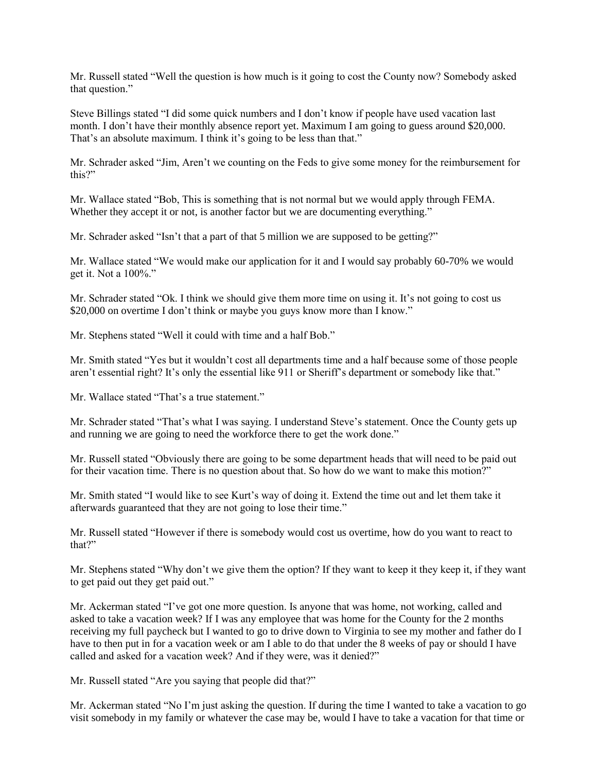Mr. Russell stated "Well the question is how much is it going to cost the County now? Somebody asked that question."

Steve Billings stated "I did some quick numbers and I don't know if people have used vacation last month. I don't have their monthly absence report yet. Maximum I am going to guess around \$20,000. That's an absolute maximum. I think it's going to be less than that."

Mr. Schrader asked "Jim, Aren't we counting on the Feds to give some money for the reimbursement for this?"

Mr. Wallace stated "Bob, This is something that is not normal but we would apply through FEMA. Whether they accept it or not, is another factor but we are documenting everything."

Mr. Schrader asked "Isn't that a part of that 5 million we are supposed to be getting?"

Mr. Wallace stated "We would make our application for it and I would say probably 60-70% we would get it. Not a 100%."

Mr. Schrader stated "Ok. I think we should give them more time on using it. It's not going to cost us \$20,000 on overtime I don't think or maybe you guys know more than I know."

Mr. Stephens stated "Well it could with time and a half Bob."

Mr. Smith stated "Yes but it wouldn't cost all departments time and a half because some of those people aren't essential right? It's only the essential like 911 or Sheriff's department or somebody like that."

Mr. Wallace stated "That's a true statement."

Mr. Schrader stated "That's what I was saying. I understand Steve's statement. Once the County gets up and running we are going to need the workforce there to get the work done."

Mr. Russell stated "Obviously there are going to be some department heads that will need to be paid out for their vacation time. There is no question about that. So how do we want to make this motion?"

Mr. Smith stated "I would like to see Kurt's way of doing it. Extend the time out and let them take it afterwards guaranteed that they are not going to lose their time."

Mr. Russell stated "However if there is somebody would cost us overtime, how do you want to react to that?"

Mr. Stephens stated "Why don't we give them the option? If they want to keep it they keep it, if they want to get paid out they get paid out."

Mr. Ackerman stated "I've got one more question. Is anyone that was home, not working, called and asked to take a vacation week? If I was any employee that was home for the County for the 2 months receiving my full paycheck but I wanted to go to drive down to Virginia to see my mother and father do I have to then put in for a vacation week or am I able to do that under the 8 weeks of pay or should I have called and asked for a vacation week? And if they were, was it denied?"

Mr. Russell stated "Are you saying that people did that?"

Mr. Ackerman stated "No I'm just asking the question. If during the time I wanted to take a vacation to go visit somebody in my family or whatever the case may be, would I have to take a vacation for that time or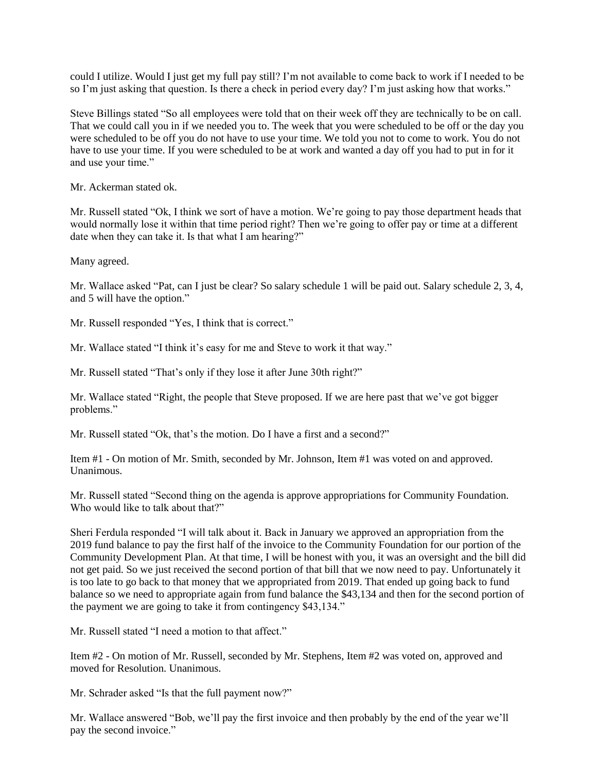could I utilize. Would I just get my full pay still? I'm not available to come back to work if I needed to be so I'm just asking that question. Is there a check in period every day? I'm just asking how that works."

Steve Billings stated "So all employees were told that on their week off they are technically to be on call. That we could call you in if we needed you to. The week that you were scheduled to be off or the day you were scheduled to be off you do not have to use your time. We told you not to come to work. You do not have to use your time. If you were scheduled to be at work and wanted a day off you had to put in for it and use your time."

Mr. Ackerman stated ok.

Mr. Russell stated "Ok, I think we sort of have a motion. We're going to pay those department heads that would normally lose it within that time period right? Then we're going to offer pay or time at a different date when they can take it. Is that what I am hearing?"

Many agreed.

Mr. Wallace asked "Pat, can I just be clear? So salary schedule 1 will be paid out. Salary schedule 2, 3, 4, and 5 will have the option."

Mr. Russell responded "Yes, I think that is correct."

Mr. Wallace stated "I think it's easy for me and Steve to work it that way."

Mr. Russell stated "That's only if they lose it after June 30th right?"

Mr. Wallace stated "Right, the people that Steve proposed. If we are here past that we've got bigger problems."

Mr. Russell stated "Ok, that's the motion. Do I have a first and a second?"

Item #1 - On motion of Mr. Smith, seconded by Mr. Johnson, Item #1 was voted on and approved. Unanimous.

Mr. Russell stated "Second thing on the agenda is approve appropriations for Community Foundation. Who would like to talk about that?"

Sheri Ferdula responded "I will talk about it. Back in January we approved an appropriation from the 2019 fund balance to pay the first half of the invoice to the Community Foundation for our portion of the Community Development Plan. At that time, I will be honest with you, it was an oversight and the bill did not get paid. So we just received the second portion of that bill that we now need to pay. Unfortunately it is too late to go back to that money that we appropriated from 2019. That ended up going back to fund balance so we need to appropriate again from fund balance the \$43,134 and then for the second portion of the payment we are going to take it from contingency \$43,134."

Mr. Russell stated "I need a motion to that affect."

Item #2 - On motion of Mr. Russell, seconded by Mr. Stephens, Item #2 was voted on, approved and moved for Resolution. Unanimous.

Mr. Schrader asked "Is that the full payment now?"

Mr. Wallace answered "Bob, we'll pay the first invoice and then probably by the end of the year we'll pay the second invoice."